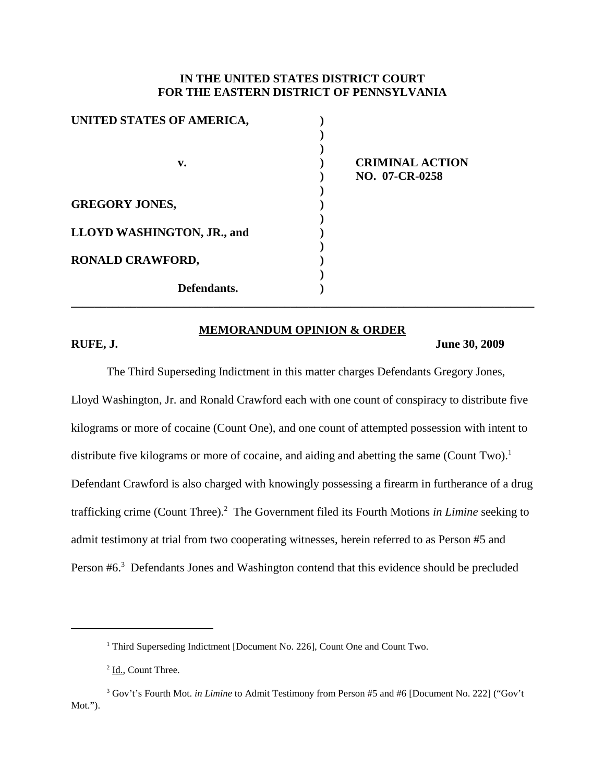# **IN THE UNITED STATES DISTRICT COURT FOR THE EASTERN DISTRICT OF PENNSYLVANIA**

| UNITED STATES OF AMERICA,  |                        |
|----------------------------|------------------------|
|                            |                        |
|                            |                        |
| v.                         | <b>CRIMINAL ACTION</b> |
|                            | NO. 07-CR-0258         |
|                            |                        |
| <b>GREGORY JONES,</b>      |                        |
|                            |                        |
| LLOYD WASHINGTON, JR., and |                        |
|                            |                        |
| <b>RONALD CRAWFORD,</b>    |                        |
|                            |                        |
| Defendants.                |                        |
|                            |                        |

## **MEMORANDUM OPINION & ORDER**

#### **RUFE, J. June 30, 2009**

The Third Superseding Indictment in this matter charges Defendants Gregory Jones, Lloyd Washington, Jr. and Ronald Crawford each with one count of conspiracy to distribute five kilograms or more of cocaine (Count One), and one count of attempted possession with intent to distribute five kilograms or more of cocaine, and aiding and abetting the same (Count Two).<sup>1</sup> Defendant Crawford is also charged with knowingly possessing a firearm in furtherance of a drug trafficking crime (Count Three). <sup>2</sup> The Government filed its Fourth Motions *in Limine* seeking to admit testimony at trial from two cooperating witnesses, herein referred to as Person #5 and Person #6.<sup>3</sup> Defendants Jones and Washington contend that this evidence should be precluded

<sup>&</sup>lt;sup>1</sup> Third Superseding Indictment [Document No. 226], Count One and Count Two.

<sup>&</sup>lt;sup>2</sup> Id., Count Three.

<sup>3</sup> Gov't's Fourth Mot. *in Limine* to Admit Testimony from Person #5 and #6 [Document No. 222] ("Gov't Mot.").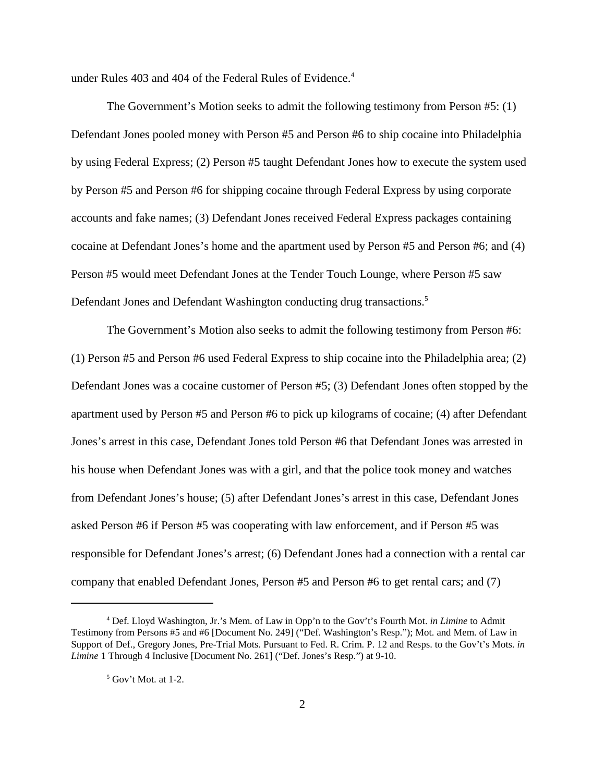under Rules 403 and 404 of the Federal Rules of Evidence. 4

The Government's Motion seeks to admit the following testimony from Person #5: (1) Defendant Jones pooled money with Person #5 and Person #6 to ship cocaine into Philadelphia by using Federal Express; (2) Person #5 taught Defendant Jones how to execute the system used by Person #5 and Person #6 for shipping cocaine through Federal Express by using corporate accounts and fake names; (3) Defendant Jones received Federal Express packages containing cocaine at Defendant Jones's home and the apartment used by Person #5 and Person #6; and (4) Person #5 would meet Defendant Jones at the Tender Touch Lounge, where Person #5 saw Defendant Jones and Defendant Washington conducting drug transactions.<sup>5</sup>

The Government's Motion also seeks to admit the following testimony from Person #6: (1) Person #5 and Person #6 used Federal Express to ship cocaine into the Philadelphia area; (2) Defendant Jones was a cocaine customer of Person #5; (3) Defendant Jones often stopped by the apartment used by Person #5 and Person #6 to pick up kilograms of cocaine; (4) after Defendant Jones's arrest in this case, Defendant Jones told Person #6 that Defendant Jones was arrested in his house when Defendant Jones was with a girl, and that the police took money and watches from Defendant Jones's house; (5) after Defendant Jones's arrest in this case, Defendant Jones asked Person #6 if Person #5 was cooperating with law enforcement, and if Person #5 was responsible for Defendant Jones's arrest; (6) Defendant Jones had a connection with a rental car company that enabled Defendant Jones, Person #5 and Person #6 to get rental cars; and (7)

<sup>4</sup> Def. Lloyd Washington, Jr.'s Mem. of Law in Opp'n to the Gov't's Fourth Mot. *in Limine* to Admit Testimony from Persons #5 and #6 [Document No. 249] ("Def. Washington's Resp."); Mot. and Mem. of Law in Support of Def., Gregory Jones, Pre-Trial Mots. Pursuant to Fed. R. Crim. P. 12 and Resps. to the Gov't's Mots. *in Limine* 1 Through 4 Inclusive [Document No. 261] ("Def. Jones's Resp.") at 9-10.

 $<sup>5</sup>$  Gov't Mot. at 1-2.</sup>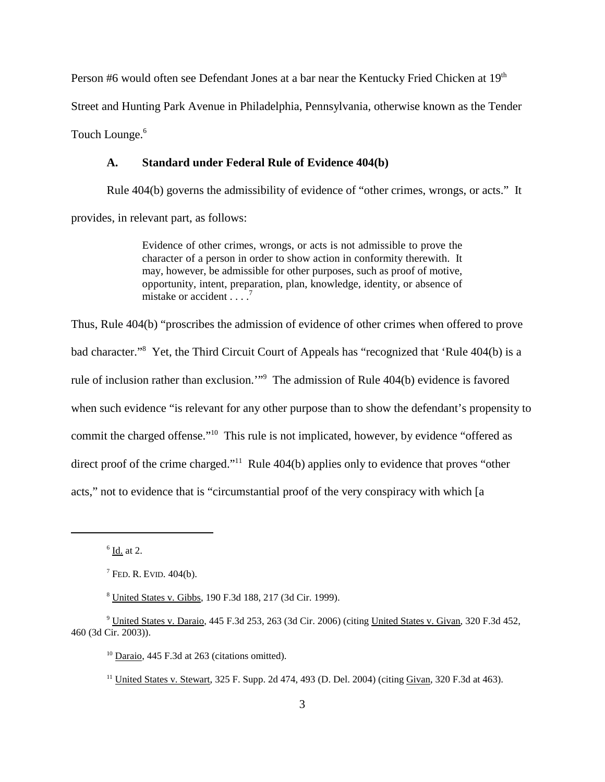Person #6 would often see Defendant Jones at a bar near the Kentucky Fried Chicken at 19<sup>th</sup> Street and Hunting Park Avenue in Philadelphia, Pennsylvania, otherwise known as the Tender Touch Lounge. 6

#### **A. Standard under Federal Rule of Evidence 404(b)**

Rule 404(b) governs the admissibility of evidence of "other crimes, wrongs, or acts." It provides, in relevant part, as follows:

> Evidence of other crimes, wrongs, or acts is not admissible to prove the character of a person in order to show action in conformity therewith. It may, however, be admissible for other purposes, such as proof of motive, opportunity, intent, preparation, plan, knowledge, identity, or absence of mistake or accident  $\ldots$ .

Thus, Rule 404(b) "proscribes the admission of evidence of other crimes when offered to prove bad character."<sup>8</sup> Yet, the Third Circuit Court of Appeals has "recognized that 'Rule 404(b) is a rule of inclusion rather than exclusion.'"9 The admission of Rule 404(b) evidence is favored when such evidence "is relevant for any other purpose than to show the defendant's propensity to commit the charged offense."10 This rule is not implicated, however, by evidence "offered as direct proof of the crime charged."<sup>11</sup> Rule 404(b) applies only to evidence that proves "other acts," not to evidence that is "circumstantial proof of the very conspiracy with which [a

 $<sup>6</sup>$  Id. at 2.</sup>

 $<sup>7</sup>$  FED. R. EVID. 404(b).</sup>

<sup>8</sup> United States v. Gibbs, 190 F.3d 188, 217 (3d Cir. 1999).

<sup>9</sup> United States v. Daraio, 445 F.3d 253, 263 (3d Cir. 2006) (citing United States v. Givan, 320 F.3d 452, 460 (3d Cir. 2003)).

 $10$  Daraio, 445 F.3d at 263 (citations omitted).

<sup>&</sup>lt;sup>11</sup> United States v. Stewart, 325 F. Supp. 2d 474, 493 (D. Del. 2004) (citing Givan, 320 F.3d at 463).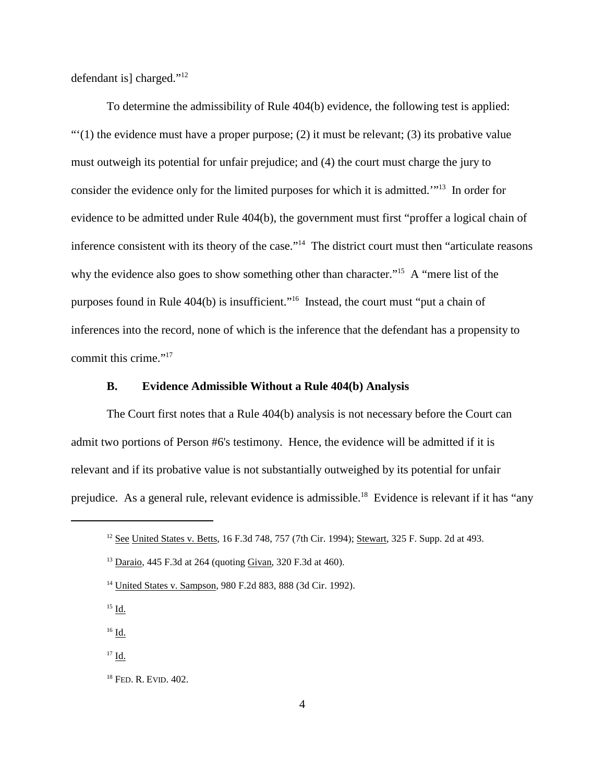defendant is] charged."12

To determine the admissibility of Rule 404(b) evidence, the following test is applied:  $\cdot\cdot\cdot(1)$  the evidence must have a proper purpose; (2) it must be relevant; (3) its probative value must outweigh its potential for unfair prejudice; and (4) the court must charge the jury to consider the evidence only for the limited purposes for which it is admitted.'"13 In order for evidence to be admitted under Rule 404(b), the government must first "proffer a logical chain of inference consistent with its theory of the case."14 The district court must then "articulate reasons why the evidence also goes to show something other than character."<sup>15</sup> A "mere list of the purposes found in Rule 404(b) is insufficient."16 Instead, the court must "put a chain of inferences into the record, none of which is the inference that the defendant has a propensity to commit this crime."17

#### **B. Evidence Admissible Without a Rule 404(b) Analysis**

The Court first notes that a Rule 404(b) analysis is not necessary before the Court can admit two portions of Person #6's testimony. Hence, the evidence will be admitted if it is relevant and if its probative value is not substantially outweighed by its potential for unfair prejudice. As a general rule, relevant evidence is admissible.<sup>18</sup> Evidence is relevant if it has "any

 $15$  Id.

<sup>16</sup> Id.

<sup>&</sup>lt;sup>12</sup> See United States v. Betts, 16 F.3d 748, 757 (7th Cir. 1994); Stewart, 325 F. Supp. 2d at 493.

<sup>13</sup> Daraio, 445 F.3d at 264 (quoting Givan, 320 F.3d at 460).

<sup>14</sup> United States v. Sampson, 980 F.2d 883, 888 (3d Cir. 1992).

 $17$  Id.

<sup>18</sup> FED. R. EVID. 402.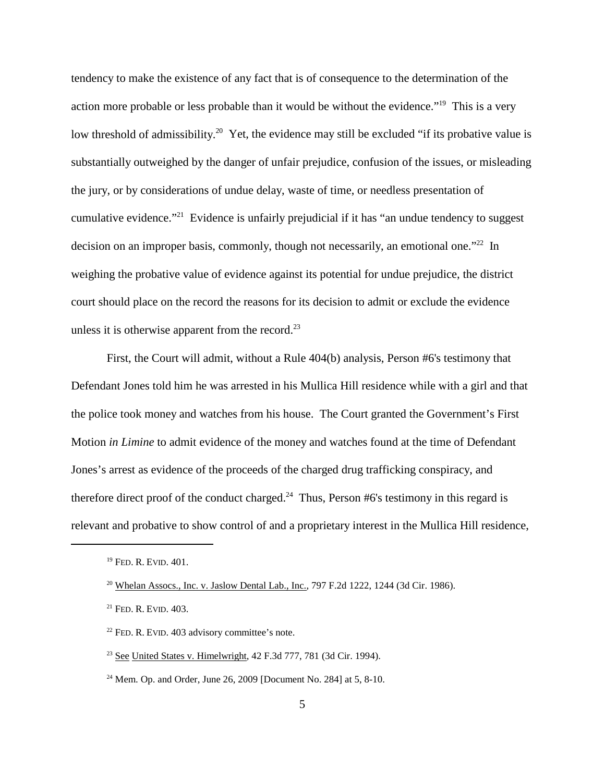tendency to make the existence of any fact that is of consequence to the determination of the action more probable or less probable than it would be without the evidence."<sup>19</sup> This is a very low threshold of admissibility.<sup>20</sup> Yet, the evidence may still be excluded "if its probative value is substantially outweighed by the danger of unfair prejudice, confusion of the issues, or misleading the jury, or by considerations of undue delay, waste of time, or needless presentation of cumulative evidence."21 Evidence is unfairly prejudicial if it has "an undue tendency to suggest decision on an improper basis, commonly, though not necessarily, an emotional one."<sup>22</sup> In weighing the probative value of evidence against its potential for undue prejudice, the district court should place on the record the reasons for its decision to admit or exclude the evidence unless it is otherwise apparent from the record. $^{23}$ 

First, the Court will admit, without a Rule 404(b) analysis, Person #6's testimony that Defendant Jones told him he was arrested in his Mullica Hill residence while with a girl and that the police took money and watches from his house. The Court granted the Government's First Motion *in Limine* to admit evidence of the money and watches found at the time of Defendant Jones's arrest as evidence of the proceeds of the charged drug trafficking conspiracy, and therefore direct proof of the conduct charged.<sup>24</sup> Thus, Person #6's testimony in this regard is relevant and probative to show control of and a proprietary interest in the Mullica Hill residence,

<sup>&</sup>lt;sup>19</sup> FED. R. EVID. 401.

<sup>&</sup>lt;sup>20</sup> Whelan Assocs., Inc. v. Jaslow Dental Lab., Inc., 797 F.2d 1222, 1244 (3d Cir. 1986).

<sup>21</sup> FED. R. EVID. 403.

 $22$  FED. R. EVID. 403 advisory committee's note.

 $23$  See United States v. Himelwright, 42 F.3d 777, 781 (3d Cir. 1994).

<sup>&</sup>lt;sup>24</sup> Mem. Op. and Order, June 26, 2009 [Document No. 284] at 5, 8-10.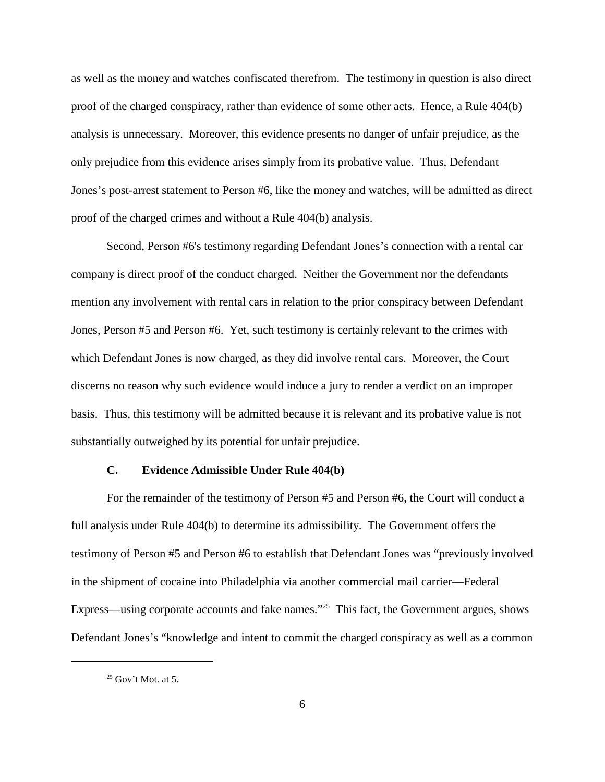as well as the money and watches confiscated therefrom. The testimony in question is also direct proof of the charged conspiracy, rather than evidence of some other acts. Hence, a Rule 404(b) analysis is unnecessary. Moreover, this evidence presents no danger of unfair prejudice, as the only prejudice from this evidence arises simply from its probative value. Thus, Defendant Jones's post-arrest statement to Person #6, like the money and watches, will be admitted as direct proof of the charged crimes and without a Rule 404(b) analysis.

Second, Person #6's testimony regarding Defendant Jones's connection with a rental car company is direct proof of the conduct charged. Neither the Government nor the defendants mention any involvement with rental cars in relation to the prior conspiracy between Defendant Jones, Person #5 and Person #6. Yet, such testimony is certainly relevant to the crimes with which Defendant Jones is now charged, as they did involve rental cars. Moreover, the Court discerns no reason why such evidence would induce a jury to render a verdict on an improper basis. Thus, this testimony will be admitted because it is relevant and its probative value is not substantially outweighed by its potential for unfair prejudice.

#### **C. Evidence Admissible Under Rule 404(b)**

For the remainder of the testimony of Person #5 and Person #6, the Court will conduct a full analysis under Rule 404(b) to determine its admissibility. The Government offers the testimony of Person #5 and Person #6 to establish that Defendant Jones was "previously involved in the shipment of cocaine into Philadelphia via another commercial mail carrier—Federal Express—using corporate accounts and fake names."<sup>25</sup> This fact, the Government argues, shows Defendant Jones's "knowledge and intent to commit the charged conspiracy as well as a common

 $25$  Gov't Mot. at 5.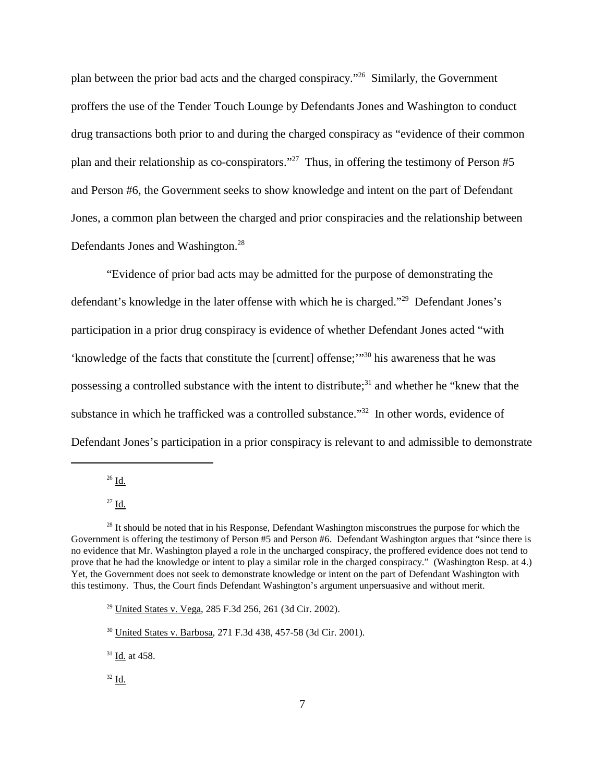plan between the prior bad acts and the charged conspiracy."26 Similarly, the Government proffers the use of the Tender Touch Lounge by Defendants Jones and Washington to conduct drug transactions both prior to and during the charged conspiracy as "evidence of their common plan and their relationship as co-conspirators."<sup>27</sup> Thus, in offering the testimony of Person  $#5$ and Person #6, the Government seeks to show knowledge and intent on the part of Defendant Jones, a common plan between the charged and prior conspiracies and the relationship between Defendants Jones and Washington.<sup>28</sup>

"Evidence of prior bad acts may be admitted for the purpose of demonstrating the defendant's knowledge in the later offense with which he is charged."29 Defendant Jones's participation in a prior drug conspiracy is evidence of whether Defendant Jones acted "with 'knowledge of the facts that constitute the [current] offense;'"<sup>30</sup> his awareness that he was possessing a controlled substance with the intent to distribute;<sup>31</sup> and whether he "knew that the substance in which he trafficked was a controlled substance."32 In other words, evidence of Defendant Jones's participation in a prior conspiracy is relevant to and admissible to demonstrate

 $26$  Id.

<sup>27</sup> Id.

<sup>&</sup>lt;sup>28</sup> It should be noted that in his Response, Defendant Washington misconstrues the purpose for which the Government is offering the testimony of Person #5 and Person #6. Defendant Washington argues that "since there is no evidence that Mr. Washington played a role in the uncharged conspiracy, the proffered evidence does not tend to prove that he had the knowledge or intent to play a similar role in the charged conspiracy." (Washington Resp. at 4.) Yet, the Government does not seek to demonstrate knowledge or intent on the part of Defendant Washington with this testimony. Thus, the Court finds Defendant Washington's argument unpersuasive and without merit.

<sup>29</sup> United States v. Vega, 285 F.3d 256, 261 (3d Cir. 2002).

<sup>30</sup> United States v. Barbosa, 271 F.3d 438, 457-58 (3d Cir. 2001).

<sup>31</sup> Id. at 458.

 $32$  Id.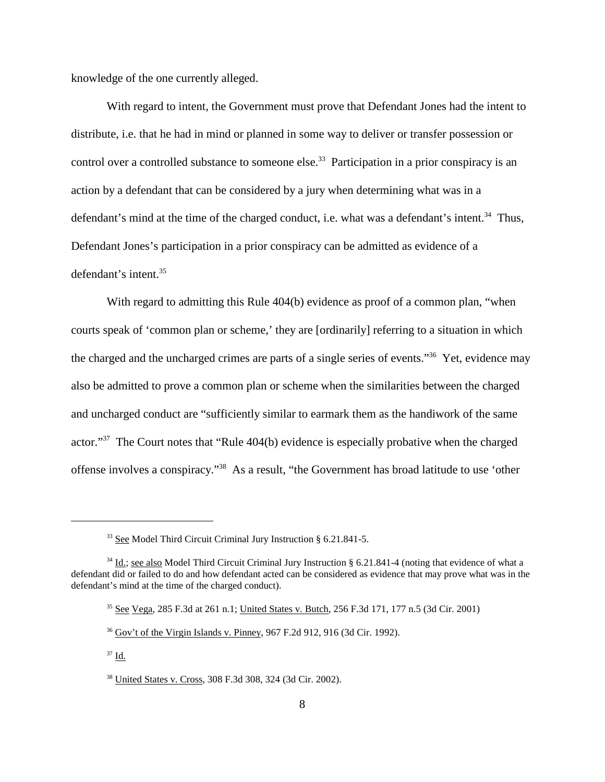knowledge of the one currently alleged.

With regard to intent, the Government must prove that Defendant Jones had the intent to distribute, i.e. that he had in mind or planned in some way to deliver or transfer possession or control over a controlled substance to someone else.<sup>33</sup> Participation in a prior conspiracy is an action by a defendant that can be considered by a jury when determining what was in a defendant's mind at the time of the charged conduct, i.e. what was a defendant's intent.<sup>34</sup> Thus, Defendant Jones's participation in a prior conspiracy can be admitted as evidence of a defendant's intent. 35

With regard to admitting this Rule 404(b) evidence as proof of a common plan, "when courts speak of 'common plan or scheme,' they are [ordinarily] referring to a situation in which the charged and the uncharged crimes are parts of a single series of events."36 Yet, evidence may also be admitted to prove a common plan or scheme when the similarities between the charged and uncharged conduct are "sufficiently similar to earmark them as the handiwork of the same actor."37 The Court notes that "Rule 404(b) evidence is especially probative when the charged offense involves a conspiracy."38 As a result, "the Government has broad latitude to use 'other

<sup>33</sup> See Model Third Circuit Criminal Jury Instruction § 6.21.841-5.

<sup>&</sup>lt;sup>34</sup> Id.; see also Model Third Circuit Criminal Jury Instruction § 6.21.841-4 (noting that evidence of what a defendant did or failed to do and how defendant acted can be considered as evidence that may prove what was in the defendant's mind at the time of the charged conduct).

<sup>35</sup> See Vega, 285 F.3d at 261 n.1; United States v. Butch, 256 F.3d 171, 177 n.5 (3d Cir. 2001)

<sup>36</sup> Gov't of the Virgin Islands v. Pinney, 967 F.2d 912, 916 (3d Cir. 1992).

<sup>37</sup> Id.

<sup>38</sup> United States v. Cross, 308 F.3d 308, 324 (3d Cir. 2002).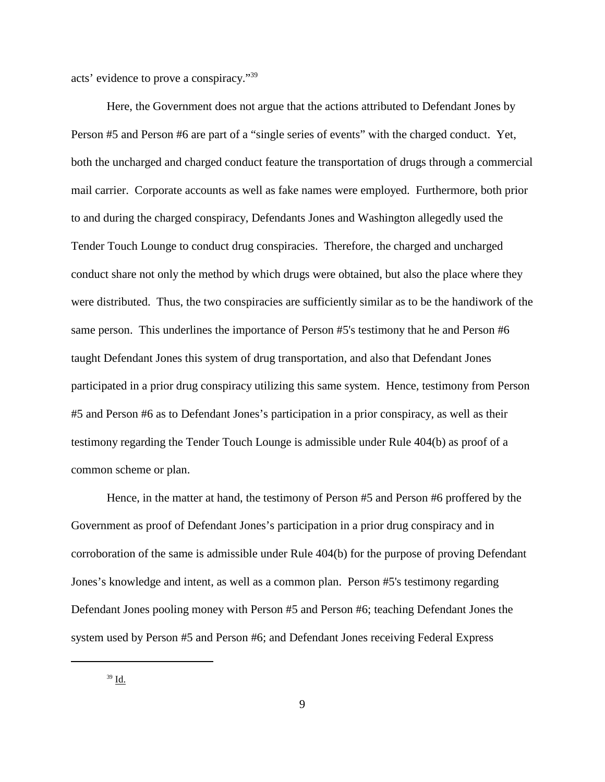acts' evidence to prove a conspiracy."39

Here, the Government does not argue that the actions attributed to Defendant Jones by Person #5 and Person #6 are part of a "single series of events" with the charged conduct. Yet, both the uncharged and charged conduct feature the transportation of drugs through a commercial mail carrier. Corporate accounts as well as fake names were employed. Furthermore, both prior to and during the charged conspiracy, Defendants Jones and Washington allegedly used the Tender Touch Lounge to conduct drug conspiracies. Therefore, the charged and uncharged conduct share not only the method by which drugs were obtained, but also the place where they were distributed. Thus, the two conspiracies are sufficiently similar as to be the handiwork of the same person. This underlines the importance of Person #5's testimony that he and Person #6 taught Defendant Jones this system of drug transportation, and also that Defendant Jones participated in a prior drug conspiracy utilizing this same system. Hence, testimony from Person #5 and Person #6 as to Defendant Jones's participation in a prior conspiracy, as well as their testimony regarding the Tender Touch Lounge is admissible under Rule 404(b) as proof of a common scheme or plan.

Hence, in the matter at hand, the testimony of Person #5 and Person #6 proffered by the Government as proof of Defendant Jones's participation in a prior drug conspiracy and in corroboration of the same is admissible under Rule 404(b) for the purpose of proving Defendant Jones's knowledge and intent, as well as a common plan. Person #5's testimony regarding Defendant Jones pooling money with Person #5 and Person #6; teaching Defendant Jones the system used by Person #5 and Person #6; and Defendant Jones receiving Federal Express

<sup>39</sup> Id.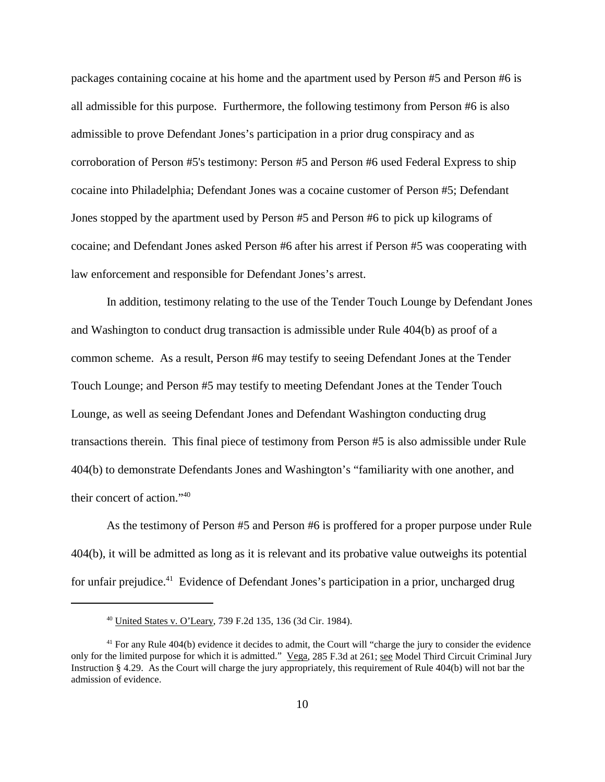packages containing cocaine at his home and the apartment used by Person #5 and Person #6 is all admissible for this purpose. Furthermore, the following testimony from Person #6 is also admissible to prove Defendant Jones's participation in a prior drug conspiracy and as corroboration of Person #5's testimony: Person #5 and Person #6 used Federal Express to ship cocaine into Philadelphia; Defendant Jones was a cocaine customer of Person #5; Defendant Jones stopped by the apartment used by Person #5 and Person #6 to pick up kilograms of cocaine; and Defendant Jones asked Person #6 after his arrest if Person #5 was cooperating with law enforcement and responsible for Defendant Jones's arrest.

In addition, testimony relating to the use of the Tender Touch Lounge by Defendant Jones and Washington to conduct drug transaction is admissible under Rule 404(b) as proof of a common scheme. As a result, Person #6 may testify to seeing Defendant Jones at the Tender Touch Lounge; and Person #5 may testify to meeting Defendant Jones at the Tender Touch Lounge, as well as seeing Defendant Jones and Defendant Washington conducting drug transactions therein. This final piece of testimony from Person #5 is also admissible under Rule 404(b) to demonstrate Defendants Jones and Washington's "familiarity with one another, and their concert of action."40

As the testimony of Person #5 and Person #6 is proffered for a proper purpose under Rule 404(b), it will be admitted as long as it is relevant and its probative value outweighs its potential for unfair prejudice.<sup>41</sup> Evidence of Defendant Jones's participation in a prior, uncharged drug

<sup>40</sup> United States v. O'Leary, 739 F.2d 135, 136 (3d Cir. 1984).

<sup>&</sup>lt;sup>41</sup> For any Rule 404(b) evidence it decides to admit, the Court will "charge the jury to consider the evidence only for the limited purpose for which it is admitted." Vega, 285 F.3d at 261; see Model Third Circuit Criminal Jury Instruction § 4.29. As the Court will charge the jury appropriately, this requirement of Rule 404(b) will not bar the admission of evidence.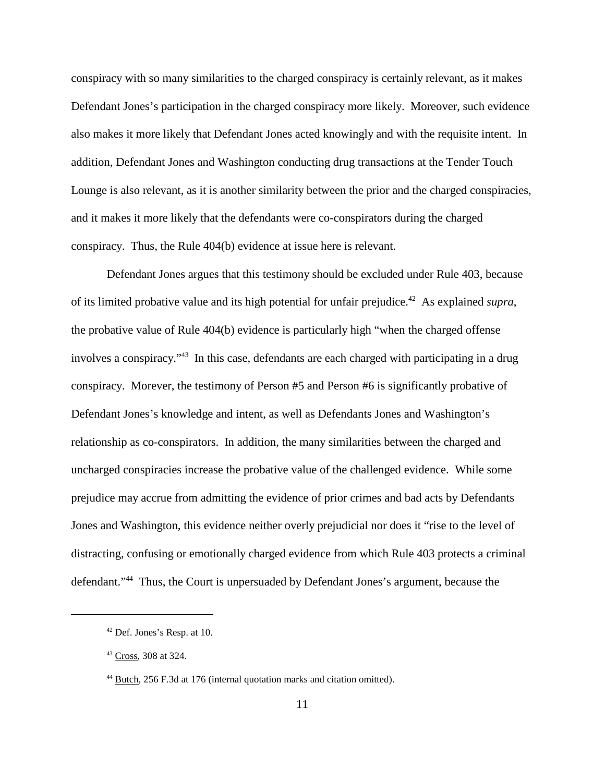conspiracy with so many similarities to the charged conspiracy is certainly relevant, as it makes Defendant Jones's participation in the charged conspiracy more likely. Moreover, such evidence also makes it more likely that Defendant Jones acted knowingly and with the requisite intent. In addition, Defendant Jones and Washington conducting drug transactions at the Tender Touch Lounge is also relevant, as it is another similarity between the prior and the charged conspiracies, and it makes it more likely that the defendants were co-conspirators during the charged conspiracy. Thus, the Rule 404(b) evidence at issue here is relevant.

Defendant Jones argues that this testimony should be excluded under Rule 403, because of its limited probative value and its high potential for unfair prejudice. <sup>42</sup> As explained *supra*, the probative value of Rule 404(b) evidence is particularly high "when the charged offense involves a conspiracy."<sup>43</sup> In this case, defendants are each charged with participating in a drug conspiracy. Morever, the testimony of Person #5 and Person #6 is significantly probative of Defendant Jones's knowledge and intent, as well as Defendants Jones and Washington's relationship as co-conspirators. In addition, the many similarities between the charged and uncharged conspiracies increase the probative value of the challenged evidence. While some prejudice may accrue from admitting the evidence of prior crimes and bad acts by Defendants Jones and Washington, this evidence neither overly prejudicial nor does it "rise to the level of distracting, confusing or emotionally charged evidence from which Rule 403 protects a criminal defendant."44 Thus, the Court is unpersuaded by Defendant Jones's argument, because the

<sup>42</sup> Def. Jones's Resp. at 10.

<sup>43</sup> Cross, 308 at 324.

<sup>&</sup>lt;sup>44</sup> Butch, 256 F.3d at 176 (internal quotation marks and citation omitted).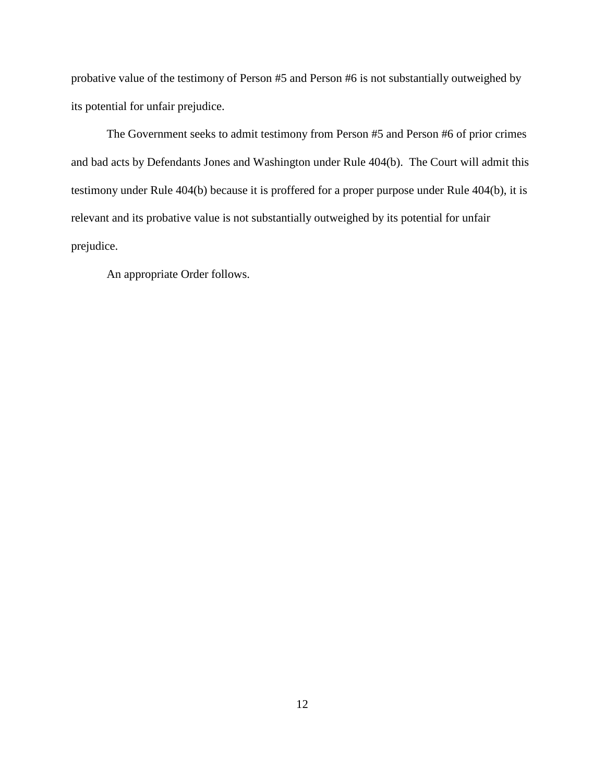probative value of the testimony of Person #5 and Person #6 is not substantially outweighed by its potential for unfair prejudice.

The Government seeks to admit testimony from Person #5 and Person #6 of prior crimes and bad acts by Defendants Jones and Washington under Rule 404(b). The Court will admit this testimony under Rule 404(b) because it is proffered for a proper purpose under Rule 404(b), it is relevant and its probative value is not substantially outweighed by its potential for unfair prejudice.

An appropriate Order follows.